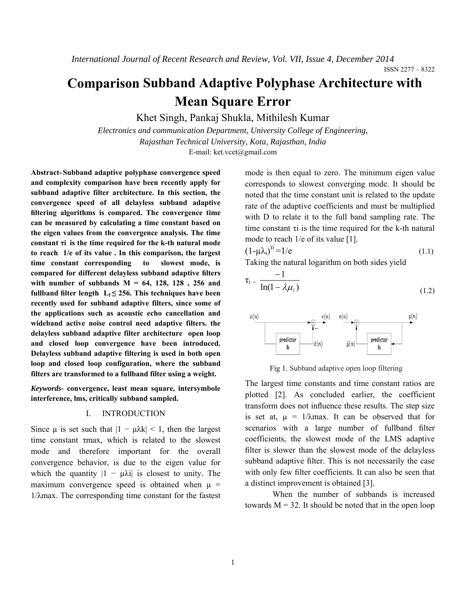ISSN 2277 – 8322

# **Comparison Subband Adaptive Polyphase Architecture with Mean Square Error**

Khet Singh, Pankaj Shukla, Mithilesh Kumar

*Electronics and communication Department, University College of Engineering, Rajasthan Technical University, Kota, Rajasthan, India*  E-mail: ket.vcet@gmail.com

**Abstract- Subband adaptive polyphase convergence speed and complexity comparison have been recently apply for subband adaptive filter architecture. In this section, the convergence speed of all delayless subband adaptive filtering algorithms is compared. The convergence time can be measured by calculating a time constant based on the eigen values from the convergence analysis. The time constant τi is the time required for the k-th natural mode to reach 1/e of its value . In this comparison, the largest time constant corresponding to slowest mode, is compared for different delayless subband adaptive filters with number of subbands M = 64, 128, 128 , 256 and fullband filter length**  $L_f \le 256$ **. This techniques have been recently used for subband adaptive filters, since some of the applications such as acoustic echo cancellation and wideband active noise control need adaptive filters. the delayless subband adaptive filter architecture open loop and closed loop convergence have been introduced. Delayless subband adaptive filtering is used in both open loop and closed loop configuration, where the subband filters are transformed to a fullband filter using a weight.** 

*Keywords-* **convergence, least mean square, intersymbole interference, lms, critically subband sampled.** 

#### I. INTRODUCTION

Since  $\mu$  is set such that  $|1 - \mu\lambda k| < 1$ , then the largest time constant τmax, which is related to the slowest mode and therefore important for the overall convergence behavior, is due to the eigen value for which the quantity  $|1 - \mu \lambda i|$  is closest to unity. The maximum convergence speed is obtained when  $\mu$  = 1/λmax. The corresponding time constant for the fastest

mode is then equal to zero. The minimum eigen value corresponds to slowest converging mode. It should be noted that the time constant unit is related to the update rate of the adaptive coefficients and must be multiplied with D to relate it to the full band sampling rate. The time constant  $\tau$  is the time required for the k-th natural mode to reach 1/e of its value [1].

$$
(1-\mu\lambda_i)^{ri}=1/e
$$
 (1.1)

Taking the natural logarithm on both sides yield

$$
\tau_{i} = \frac{-1}{\ln(1 - \lambda \mu_{i})}
$$
\n(1.2)





The largest time constants and time constant ratios are plotted [2]. As concluded earlier, the coefficient transform does not influence these results. The step size is set at,  $\mu = 1/\lambda$  max. It can be observed that for scenarios with a large number of fullband filter coefficients, the slowest mode of the LMS adaptive filter is slower than the slowest mode of the delayless subband adaptive filter. This is not necessarily the case with only few filter coefficients. It can also be seen that a distinct improvement is obtained [3].

When the number of subbands is increased towards  $M = 32$ . It should be noted that in the open loop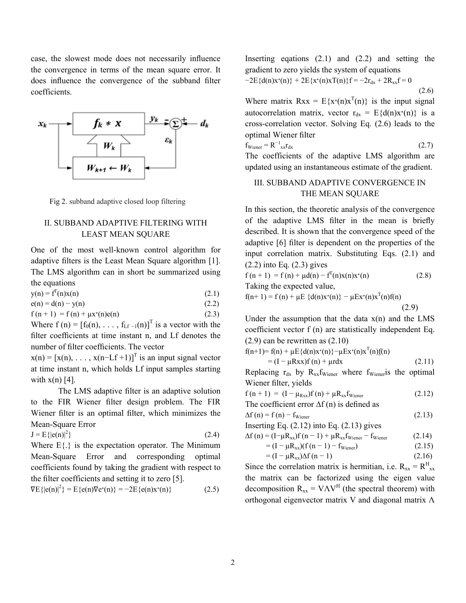case, the slowest mode does not necessarily influence the convergence in terms of the mean square error. It does influence the convergence of the subband filter coefficients.



Fig 2. subband adaptive closed loop filtering

# II. SUBBAND ADAPTIVE FILTERING WITH LEAST MEAN SQUARE

One of the most well-known control algorithm for adaptive filters is the Least Mean Square algorithm [1]. The LMS algorithm can in short be summarized using the equations

| $y(n) = f^{T}(n)x(n)$               | (2.1) |
|-------------------------------------|-------|
| $e(n) = d(n) - y(n)$                | (2.2) |
| $f(n + 1) = f(n) + \mu x^{(n)}e(n)$ | (2.3) |
|                                     |       |

Where  $f(n) = [f_0(n), \ldots, f_{Lf-1}(n)]^T$  is a vector with the filter coefficients at time instant n, and Lf denotes the number of filter coefficients. The vector

 $x(n) = [x(n), \dots, x(n-Lf+1)]^{T}$  is an input signal vector at time instant n, which holds Lf input samples starting with  $x(n)$  [4].

The LMS adaptive filter is an adaptive solution to the FIR Wiener filter design problem. The FIR Wiener filter is an optimal filter, which minimizes the Mean-Square Error

$$
J = E\{|e(n)|^2\}
$$
\n
$$
(2.4)
$$

Where  $E\{.\}$  is the expectation operator. The Minimum Mean-Square Error and corresponding optimal coefficients found by taking the gradient with respect to the filter coefficients and setting it to zero [5].

$$
\nabla E \{|e(n)|^2\} = E \{e(n)\nabla e^*(n)\} = -2E \{e(n)x^*(n)\}
$$
 (2.5)

Inserting eqations  $(2.1)$  and  $(2.2)$  and setting the gradient to zero yields the system of equations  $-2E\{d(n)x^{(n)}\} + 2E\{x^{(n)}xT(n)\}f = -2r_{dx} + 2R_{xx}f = 0$ 

$$
(2.6)
$$

Where matrix  $Rxx = E{x*(n)x^{T}(n)}$  is the input signal autocorrelation matrix, vector  $r_{dx} = E\{d(n)x^{*}(n)\}\$ is a cross-correlation vector. Solving Eq. (2.6) leads to the optimal Wiener filter

$$
f_{\text{Wiener}} = R^{-1}_{xx} r_{dx} \tag{2.7}
$$

The coefficients of the adaptive LMS algorithm are updated using an instantaneous estimate of the gradient.

### III. SUBBAND ADAPTIVE CONVERGENCE IN THE MEAN SQUARE

In this section, the theoretic analysis of the convergence of the adaptive LMS filter in the mean is briefly described. It is shown that the convergence speed of the adaptive [6] filter is dependent on the properties of the input correlation matrix. Substituting Eqs. (2.1) and (2.2) into Eq. (2.3) gives

$$
f(n + 1) = f(n) + \mu d(n) - f^{T}(n)x(n)x^{*}(n)
$$
\nTaking the expected value,

\n
$$
f(n+1) = f(n) + \mu E \{d(n)x^{*}(n)\} - \mu Ex^{*}(n)x^{T}(n)f(n)
$$
\n(2.8)

 $(2.9)$ 

Under the assumption that the data  $x(n)$  and the LMS coefficient vector f (n) are statistically independent Eq.  $(2.9)$  can be rewritten as  $(2.10)$ 

 $f(n+1) = f(n) + \mu E \{d(n)x^*(n)\} - \mu Ex^*(n)x^{T}(n) \underline{f}(n)$ 

$$
= (I - \mu Rxx) f(n) + \mu r dx \qquad (2.11)
$$

Replacing  $r_{dx}$  by  $R_{xx}f_{Wiener}$  where  $f_{Wiener}$  the optimal Wiener filter, yields

| $f(n + 1) = (I - \mu_{Rxx})f(n) + \mu R_{xx}f_{Wiener}$ | (2.12) |
|---------------------------------------------------------|--------|
| The coefficient error $\Delta f(n)$ is defined as       |        |

 $\Delta f(n) = f(n) - f_{\text{Wiener}}$  (2.13)

Inserting Eq. 
$$
(2.12)
$$
 into Eq.  $(2.13)$  gives

$$
\Delta f(n) = (I - \mu R_{xx}) f(n-1) + \mu R_{xx} f_{Wiener} - f_{Wiener}
$$
 (2.14)

$$
= (I - \mu R_{xx})(f (n - 1) - f_{\text{Wiener}}) \tag{2.15}
$$

$$
= (I - \mu R_{xx}) \Delta f (n - 1)
$$
 (2.16)

Since the correlation matrix is hermitian, i.e.  $R_{xx} = R_{xx}^H$ the matrix can be factorized using the eigen value decomposition  $R_{xx} = V\Lambda V^H$  (the spectral theorem) with orthogonal eigenvector matrix V and diagonal matrix Λ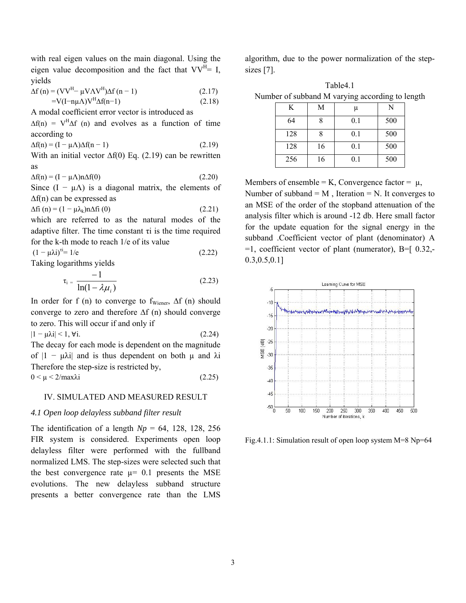with real eigen values on the main diagonal. Using the eigen value decomposition and the fact that  $VV^H = I$ , yields

$$
\Delta f(n) = (VV^{H} - \mu V \Lambda V^{H}) \Delta f(n-1)
$$
\n
$$
= V(I - n\mu \Lambda) V^{H} \Delta f(n-1)
$$
\n(2.18)

A modal coefficient error vector is introduced as

 $\Delta f(n) = V^H \Delta f$  (n) and evolves as a function of time according to

 $\Delta f(n) = (I - \mu \Lambda) \Delta f(n - 1)$  (2.19)

With an initial vector  $\Delta f(0)$  Eq. (2.19) can be rewritten as

 $\Delta f(n) = (I - \mu \Lambda) n \Delta f(0)$  (2.20)

Since  $(I - \mu \Lambda)$  is a diagonal matrix, the elements of ∆f(n) can be expressed as

 $\Delta f i(n) = (1 - \mu \lambda_k) n \Delta f i(0)$  (2.21)

which are referred to as the natural modes of the adaptive filter. The time constant τi is the time required for the k-th mode to reach 1/e of its value

$$
(1 - \mu\lambda i)^{\pi i} = 1/e
$$
 (2.22)

Taking logarithms yields

$$
\tau_{i} = \frac{-1}{\ln(1 - \lambda \mu_{i})}
$$
\n(2.23)

In order for f (n) to converge to  $f_{\text{Wiener}}$ ,  $\Delta f$  (n) should converge to zero and therefore ∆f (n) should converge to zero. This will occur if and only if

 $|1 - \mu\lambda i| < 1, \forall i.$  (2.24)

The decay for each mode is dependent on the magnitude of  $|1 - \mu \lambda i|$  and is thus dependent on both  $\mu$  and  $\lambda i$ Therefore the step-size is restricted by,

 $0 < \mu < 2/\text{max}\lambda$ i (2.25)

#### IV. SIMULATED AND MEASURED RESULT

#### *4.1 Open loop delayless subband filter result*

The identification of a length  $Np = 64$ , 128, 128, 256 FIR system is considered. Experiments open loop delayless filter were performed with the fullband normalized LMS. The step-sizes were selected such that the best convergence rate  $\mu$  = 0.1 presents the MSE evolutions. The new delayless subband structure presents a better convergence rate than the LMS

algorithm, due to the power normalization of the stepsizes [7].

Table4.1 Number of subband M varying according to length

| K   | $\mathbf M$ | μ   | N   |
|-----|-------------|-----|-----|
| 64  | 8           | 0.1 | 500 |
| 128 | 8           | 0.1 | 500 |
| 128 | 16          | 0.1 | 500 |
| 256 | 16          | 0.1 | 500 |

Members of ensemble = K, Convergence factor =  $\mu$ , Number of subband =  $M$ , Iteration = N. It converges to an MSE of the order of the stopband attenuation of the analysis filter which is around -12 db. Here small factor for the update equation for the signal energy in the subband .Coefficient vector of plant (denominator) A  $=$ 1, coefficient vector of plant (numerator), B $=$ [ 0.32,-0.3,0.5,0.1]



Fig.4.1.1: Simulation result of open loop system M=8 Np=64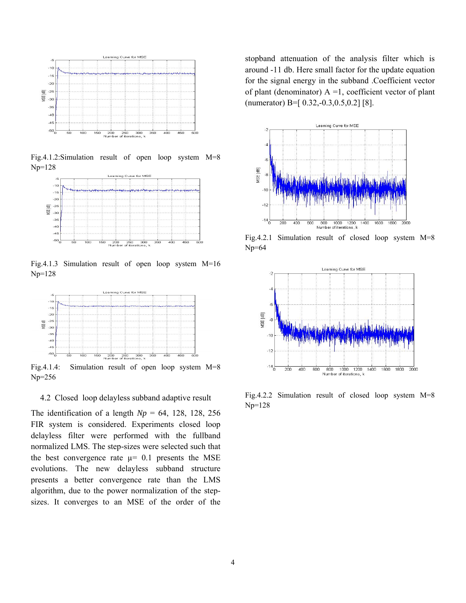

Fig.4.1.2:Simulation result of open loop system M=8 Np=128



Fig.4.1.3 Simulation result of open loop system M=16 Np=128



Fig.4.1.4: Simulation result of open loop system M=8 Np=256

## 4.2 Closed loop delayless subband adaptive result

The identification of a length  $Np = 64$ , 128, 128, 256 FIR system is considered. Experiments closed loop delayless filter were performed with the fullband normalized LMS. The step-sizes were selected such that the best convergence rate  $\mu$  = 0.1 presents the MSE evolutions. The new delayless subband structure presents a better convergence rate than the LMS algorithm, due to the power normalization of the stepsizes. It converges to an MSE of the order of the stopband attenuation of the analysis filter which is around -11 db. Here small factor for the update equation for the signal energy in the subband .Coefficient vector of plant (denominator)  $A = 1$ , coefficient vector of plant (numerator) B=[ 0.32,-0.3,0.5,0.2] [8].



Fig.4.2.1 Simulation result of closed loop system M=8 Np=64



Fig.4.2.2 Simulation result of closed loop system M=8 Np=128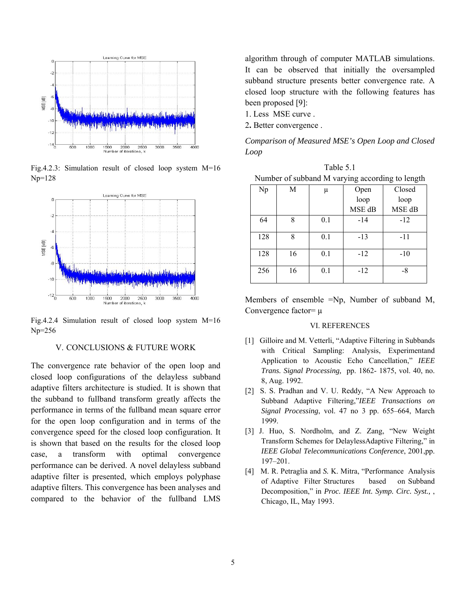

Fig.4.2.3: Simulation result of closed loop system M=16 Np=128



Fig.4.2.4 Simulation result of closed loop system M=16 Np=256

## V. CONCLUSIONS & FUTURE WORK

The convergence rate behavior of the open loop and closed loop configurations of the delayless subband adaptive filters architecture is studied. It is shown that the subband to fullband transform greatly affects the performance in terms of the fullband mean square error for the open loop configuration and in terms of the convergence speed for the closed loop configuration. It is shown that based on the results for the closed loop case, a transform with optimal convergence performance can be derived. A novel delayless subband adaptive filter is presented, which employs polyphase adaptive filters. This convergence has been analyses and compared to the behavior of the fullband LMS

algorithm through of computer MATLAB simulations. It can be observed that initially the oversampled subband structure presents better convergence rate. A closed loop structure with the following features has been proposed [9]:

1. Less MSE curve .

2**.** Better convergence .

*Comparison of Measured MSE's Open Loop and Closed Loop* 

| Table 5.1                                       |
|-------------------------------------------------|
| Number of subband M varying according to length |

| Np  | М  | μ   | Open   | Closed |
|-----|----|-----|--------|--------|
|     |    |     | loop   | loop   |
|     |    |     | MSE dB | MSE dB |
| 64  | 8  | 0.1 | $-14$  | $-12$  |
| 128 | 8  | 0.1 | $-13$  | $-11$  |
| 128 | 16 | 0.1 | $-12$  | $-10$  |
| 256 | 16 | 0.1 | $-12$  | $-8$   |

Members of ensemble =Np, Number of subband M, Convergence factor= µ

#### VI. REFERENCES

- [1] Gilloire and M. Vetterli, "Adaptive Filtering in Subbands" with Critical Sampling: Analysis, Experimentand Application to Acoustic Echo Cancellation," *IEEE Trans. Signal Processing,* pp. 1862- 1875, vol. 40, no. 8, Aug. 1992.
- [2] S. S. Pradhan and V. U. Reddy, "A New Approach to Subband Adaptive Filtering,"*IEEE Transactions on Signal Processing*, vol. 47 no 3 pp. 655–664, March 1999.
- [3] J. Huo, S. Nordholm, and Z. Zang, "New Weight Transform Schemes for DelaylessAdaptive Filtering," in *IEEE Global Telecommunications Conference*, 2001,pp. 197–201.
- [4] M. R. Petraglia and *S. K. Mitra*, "Performance Analysis of Adaptive Filter Structures based on Subband Decomposition," in *Proc. IEEE Int. Symp. Circ. Syst.,* , Chicago, IL, May 1993.